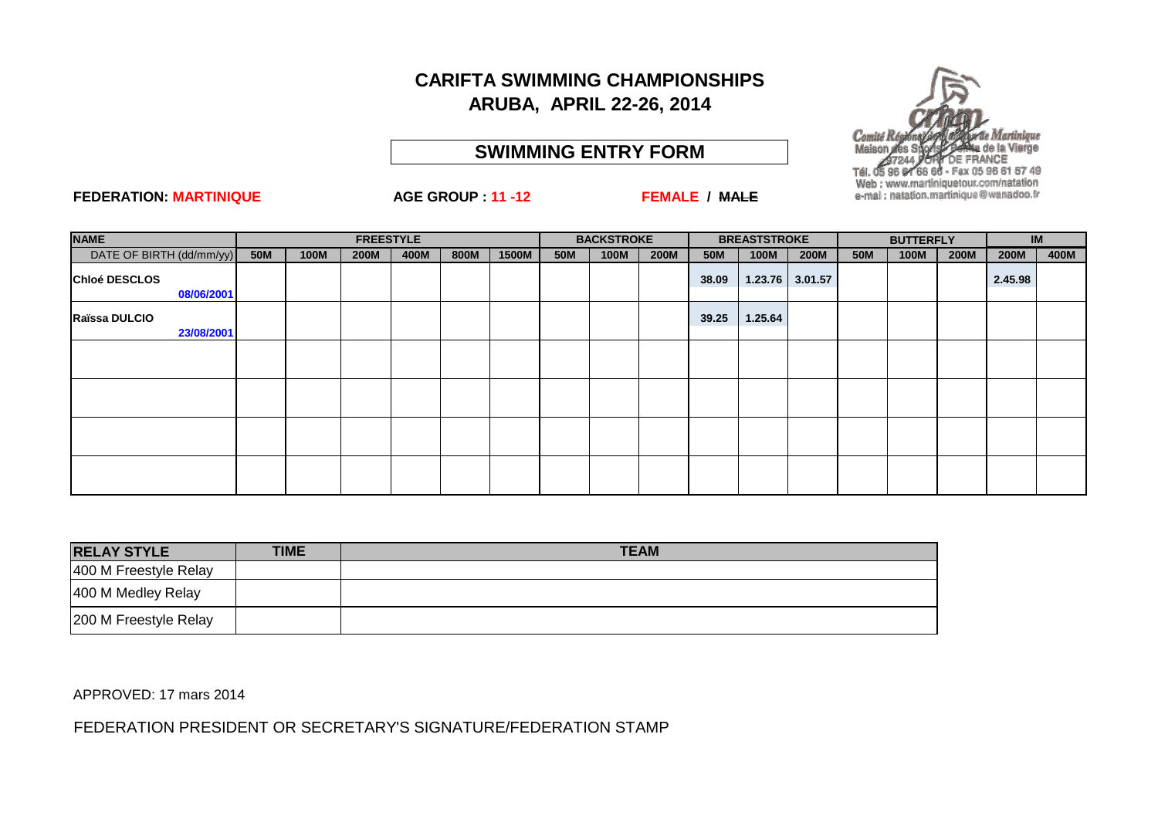#### **SWIMMING ENTRY FORM**

#### **FEDERATION: MARTINIQUE AGE GROUP : 11 -12 FEMALE / MALE**

Fax 05 96 61 57 49

Web: www.martiniquetour.com/natation e-mai : natation.martinique@wanadoo.fr

| <b>NAME</b>              |            | <b>FREESTYLE</b> |             |      |      |       |            | <b>BACKSTROKE</b> |             |            | <b>BREASTSTROKE</b> |         |            | <b>BUTTERFLY</b> |             | <b>IM</b>   |      |
|--------------------------|------------|------------------|-------------|------|------|-------|------------|-------------------|-------------|------------|---------------------|---------|------------|------------------|-------------|-------------|------|
| DATE OF BIRTH (dd/mm/yy) | <b>50M</b> | 100M             | <b>200M</b> | 400M | 800M | 1500M | <b>50M</b> | 100M              | <b>200M</b> | <b>50M</b> | 100M                | 200M    | <b>50M</b> | 100M             | <b>200M</b> | <b>200M</b> | 400M |
| Chloé DESCLOS            |            |                  |             |      |      |       |            |                   |             | 38.09      | 1.23.76             | 3.01.57 |            |                  |             | 2.45.98     |      |
| 08/06/2001               |            |                  |             |      |      |       |            |                   |             |            |                     |         |            |                  |             |             |      |
| Raïssa DULCIO            |            |                  |             |      |      |       |            |                   |             | 39.25      | 1.25.64             |         |            |                  |             |             |      |
| 23/08/2001               |            |                  |             |      |      |       |            |                   |             |            |                     |         |            |                  |             |             |      |
|                          |            |                  |             |      |      |       |            |                   |             |            |                     |         |            |                  |             |             |      |
|                          |            |                  |             |      |      |       |            |                   |             |            |                     |         |            |                  |             |             |      |
|                          |            |                  |             |      |      |       |            |                   |             |            |                     |         |            |                  |             |             |      |
|                          |            |                  |             |      |      |       |            |                   |             |            |                     |         |            |                  |             |             |      |
|                          |            |                  |             |      |      |       |            |                   |             |            |                     |         |            |                  |             |             |      |

| <b>RELAY STYLE</b>    | <b>TIME</b> | <b>TEAM</b> |
|-----------------------|-------------|-------------|
| 400 M Freestyle Relay |             |             |
| 400 M Medley Relay    |             |             |
| 200 M Freestyle Relay |             |             |

APPROVED: 17 mars 2014

FEDERATION PRESIDENT OR SECRETARY'S SIGNATURE/FEDERATION STAMP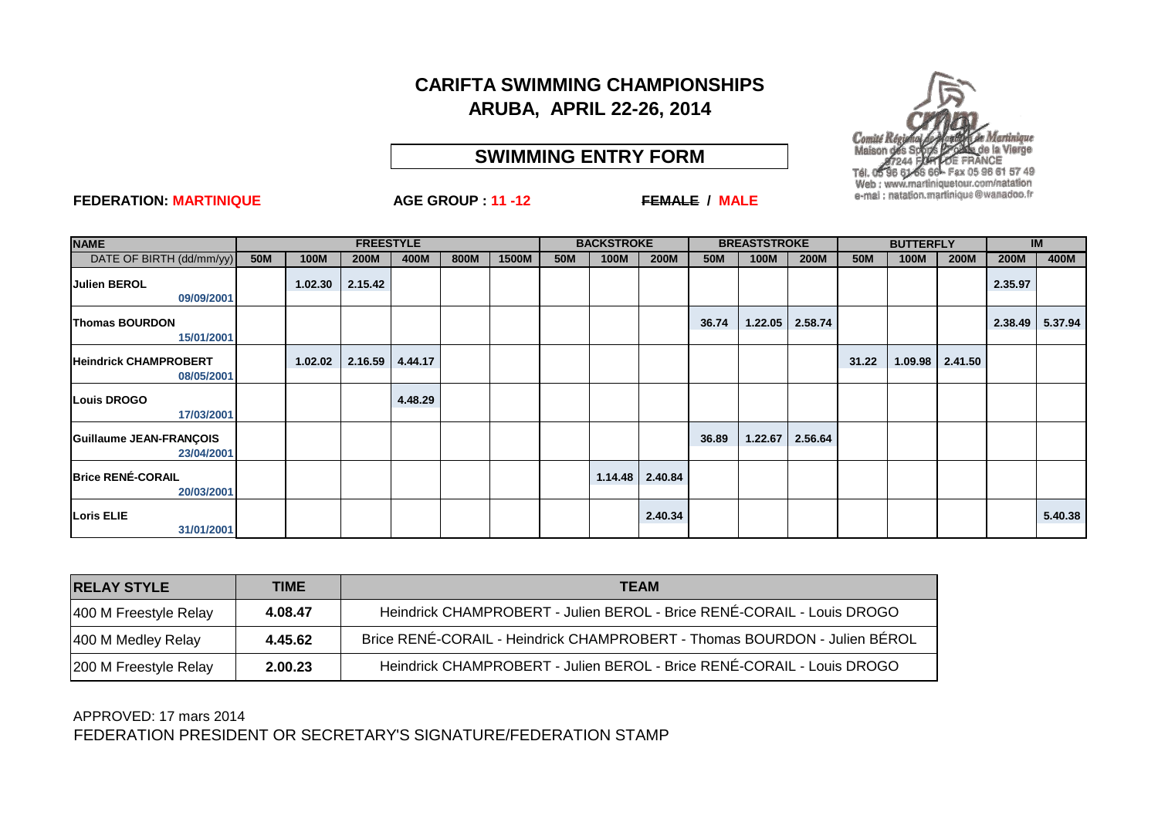### **SWIMMING ENTRY FORM**



| <b>NAME</b>                                |            | <b>FREESTYLE</b> |             |         |      |       |            | <b>BACKSTROKE</b> |             |            | <b>BREASTSTROKE</b> |                     |            | <b>BUTTERFLY</b> |             | <b>IM</b>   |         |
|--------------------------------------------|------------|------------------|-------------|---------|------|-------|------------|-------------------|-------------|------------|---------------------|---------------------|------------|------------------|-------------|-------------|---------|
| DATE OF BIRTH (dd/mm/yy)                   | <b>50M</b> | 100M             | <b>200M</b> | 400M    | 800M | 1500M | <b>50M</b> | 100M              | <b>200M</b> | <b>50M</b> | 100M                | <b>200M</b>         | <b>50M</b> | <b>100M</b>      | <b>200M</b> | <b>200M</b> | 400M    |
| <b>Julien BEROL</b><br>09/09/2001          |            | 1.02.30          | 2.15.42     |         |      |       |            |                   |             |            |                     |                     |            |                  |             | 2.35.97     |         |
| <b>Thomas BOURDON</b><br>15/01/2001        |            |                  |             |         |      |       |            |                   |             | 36.74      |                     | $1.22.05$   2.58.74 |            |                  |             | 2.38.49     | 5.37.94 |
| <b>Heindrick CHAMPROBERT</b><br>08/05/2001 |            | 1.02.02          | 2.16.59     | 4.44.17 |      |       |            |                   |             |            |                     |                     | 31.22      | 1.09.98          | 2.41.50     |             |         |
| <b>Louis DROGO</b><br>17/03/2001           |            |                  |             | 4.48.29 |      |       |            |                   |             |            |                     |                     |            |                  |             |             |         |
| Guillaume JEAN-FRANÇOIS<br>23/04/2001      |            |                  |             |         |      |       |            |                   |             | 36.89      | 1.22.67             | 2.56.64             |            |                  |             |             |         |
| <b>Brice RENÉ-CORAIL</b><br>20/03/2001     |            |                  |             |         |      |       |            | 1.14.48           | 2.40.84     |            |                     |                     |            |                  |             |             |         |
| <b>Loris ELIE</b><br>31/01/2001            |            |                  |             |         |      |       |            |                   | 2.40.34     |            |                     |                     |            |                  |             |             | 5.40.38 |

| <b>RELAY STYLE</b>    | <b>TIME</b> | <b>TEAM</b>                                                               |
|-----------------------|-------------|---------------------------------------------------------------------------|
| 400 M Freestyle Relay | 4.08.47     | Heindrick CHAMPROBERT - Julien BEROL - Brice RENÉ-CORAIL - Louis DROGO    |
| 400 M Medley Relay    | 4.45.62     | Brice RENÉ-CORAIL - Heindrick CHAMPROBERT - Thomas BOURDON - Julien BÉROL |
| 200 M Freestyle Relay | 2.00.23     | Heindrick CHAMPROBERT - Julien BEROL - Brice RENÉ-CORAIL - Louis DROGO    |

FEDERATION PRESIDENT OR SECRETARY'S SIGNATURE/FEDERATION STAMP APPROVED: 17 mars 2014

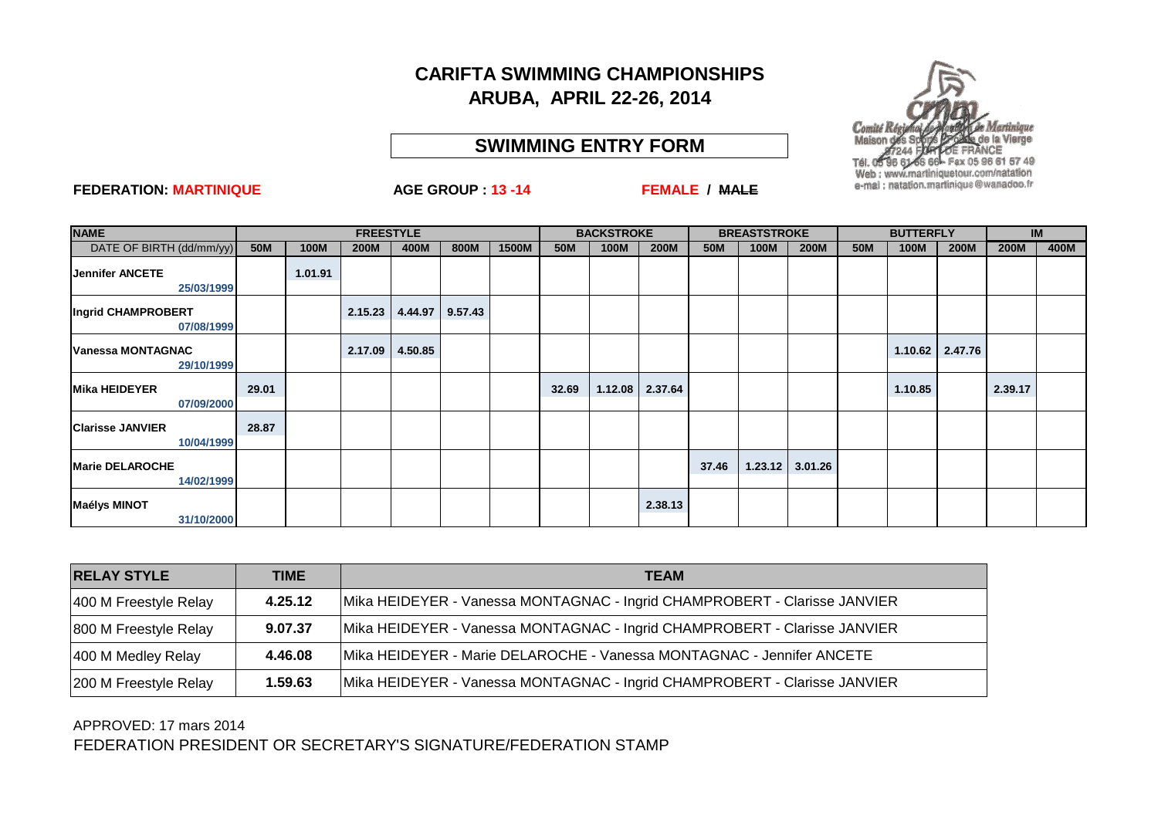#### **SWIMMING ENTRY FORM**



#### **FEDERATION: MARTINIQUE AGE GROUP : 13 -14 FEMALE / MALE**

| <b>NAME</b>                            |       |             | <b>FREESTYLE</b> |         |         |       | <b>BACKSTROKE</b> |         |             | <b>BREASTSTROKE</b> |         |             |            | <b>BUTTERFLY</b> |             | <b>IM</b>   |      |
|----------------------------------------|-------|-------------|------------------|---------|---------|-------|-------------------|---------|-------------|---------------------|---------|-------------|------------|------------------|-------------|-------------|------|
| DATE OF BIRTH (dd/mm/yy)               | 50M   | <b>100M</b> | <b>200M</b>      | 400M    | 800M    | 1500M | <b>50M</b>        | 100M    | <b>200M</b> | <b>50M</b>          | 100M    | <b>200M</b> | <b>50M</b> | 100M             | <b>200M</b> | <b>200M</b> | 400M |
| <b>Jennifer ANCETE</b><br>25/03/1999   |       | 1.01.91     |                  |         |         |       |                   |         |             |                     |         |             |            |                  |             |             |      |
| Ingrid CHAMPROBERT<br>07/08/1999       |       |             | 2.15.23          | 4.44.97 | 9.57.43 |       |                   |         |             |                     |         |             |            |                  |             |             |      |
| <b>Vanessa MONTAGNAC</b><br>29/10/1999 |       |             | 2.17.09          | 4.50.85 |         |       |                   |         |             |                     |         |             |            | 1.10.62          | 2.47.76     |             |      |
| <b>Mika HEIDEYER</b><br>07/09/2000     | 29.01 |             |                  |         |         |       | 32.69             | 1.12.08 | 2.37.64     |                     |         |             |            | 1.10.85          |             | 2.39.17     |      |
| <b>Clarisse JANVIER</b><br>10/04/1999  | 28.87 |             |                  |         |         |       |                   |         |             |                     |         |             |            |                  |             |             |      |
| <b>Marie DELAROCHE</b><br>14/02/1999   |       |             |                  |         |         |       |                   |         |             | 37.46               | 1.23.12 | 3.01.26     |            |                  |             |             |      |
| <b>Maélys MINOT</b><br>31/10/2000      |       |             |                  |         |         |       |                   |         | 2.38.13     |                     |         |             |            |                  |             |             |      |

| <b>RELAY STYLE</b>    | <b>TIME</b> | <b>TEAM</b>                                                               |
|-----------------------|-------------|---------------------------------------------------------------------------|
| 400 M Freestyle Relay | 4.25.12     | Mika HEIDEYER - Vanessa MONTAGNAC - Ingrid CHAMPROBERT - Clarisse JANVIER |
| 800 M Freestyle Relay | 9.07.37     | Mika HEIDEYER - Vanessa MONTAGNAC - Ingrid CHAMPROBERT - Clarisse JANVIER |
| 400 M Medley Relay    | 4.46.08     | Mika HEIDEYER - Marie DELAROCHE - Vanessa MONTAGNAC - Jennifer ANCETE     |
| 200 M Freestyle Relay | 1.59.63     | Mika HEIDEYER - Vanessa MONTAGNAC - Ingrid CHAMPROBERT - Clarisse JANVIER |

FEDERATION PRESIDENT OR SECRETARY'S SIGNATURE/FEDERATION STAMP APPROVED: 17 mars 2014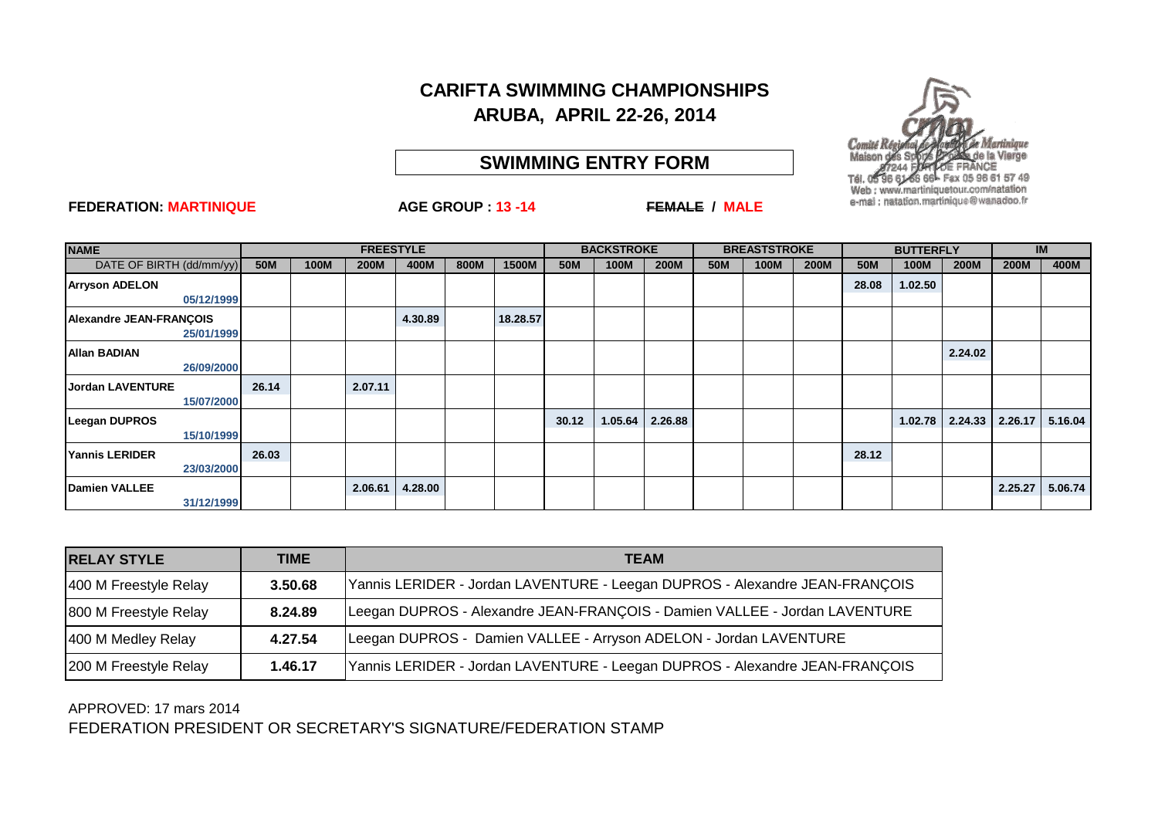## **SWIMMING ENTRY FORM**



| <b>NAME</b>                                  |            | <b>FREESTYLE</b> |             |         |      |          |       | <b>BACKSTROKE</b> |             |            | <b>BREASTSTROKE</b> |             |            | <b>BUTTERFLY</b> |             |                     | <b>IM</b> |  |
|----------------------------------------------|------------|------------------|-------------|---------|------|----------|-------|-------------------|-------------|------------|---------------------|-------------|------------|------------------|-------------|---------------------|-----------|--|
| DATE OF BIRTH (dd/mm/yy)                     | <b>50M</b> | <b>100M</b>      | <b>200M</b> | 400M    | 800M | 1500M    | 50M   | 100M              | <b>200M</b> | <b>50M</b> | <b>100M</b>         | <b>200M</b> | <b>50M</b> | 100M             | <b>200M</b> | <b>200M</b>         | 400M      |  |
| <b>Arryson ADELON</b><br>05/12/1999          |            |                  |             |         |      |          |       |                   |             |            |                     |             | 28.08      | 1.02.50          |             |                     |           |  |
| <b>Alexandre JEAN-FRANCOIS</b><br>25/01/1999 |            |                  |             | 4.30.89 |      | 18.28.57 |       |                   |             |            |                     |             |            |                  |             |                     |           |  |
| <b>Allan BADIAN</b><br>26/09/2000            |            |                  |             |         |      |          |       |                   |             |            |                     |             |            |                  | 2.24.02     |                     |           |  |
| <b>Jordan LAVENTURE</b><br>15/07/2000        | 26.14      |                  | 2.07.11     |         |      |          |       |                   |             |            |                     |             |            |                  |             |                     |           |  |
| <b>Leegan DUPROS</b><br>15/10/1999           |            |                  |             |         |      |          | 30.12 | 1.05.64           | 2.26.88     |            |                     |             |            | 1.02.78          |             | $2.24.33$   2.26.17 | 5.16.04   |  |
| <b>Yannis LERIDER</b><br>23/03/2000          | 26.03      |                  |             |         |      |          |       |                   |             |            |                     |             | 28.12      |                  |             |                     |           |  |
| <b>Damien VALLEE</b><br>31/12/1999           |            |                  | 2.06.61     | 4.28.00 |      |          |       |                   |             |            |                     |             |            |                  |             | 2.25.27             | 5.06.74   |  |

| <b>RELAY STYLE</b>    | <b>TIME</b> | <b>TEAM</b>                                                                 |
|-----------------------|-------------|-----------------------------------------------------------------------------|
| 400 M Freestyle Relay | 3.50.68     | Yannis LERIDER - Jordan LAVENTURE - Leegan DUPROS - Alexandre JEAN-FRANÇOIS |
| 800 M Freestyle Relay | 8.24.89     | Leegan DUPROS - Alexandre JEAN-FRANÇOIS - Damien VALLEE - Jordan LAVENTURE  |
| 400 M Medley Relay    | 4.27.54     | Leegan DUPROS - Damien VALLEE - Arryson ADELON - Jordan LAVENTURE           |
| 200 M Freestyle Relay | 1.46.17     | Yannis LERIDER - Jordan LAVENTURE - Leegan DUPROS - Alexandre JEAN-FRANÇOIS |

FEDERATION PRESIDENT OR SECRETARY'S SIGNATURE/FEDERATION STAMP APPROVED: 17 mars 2014

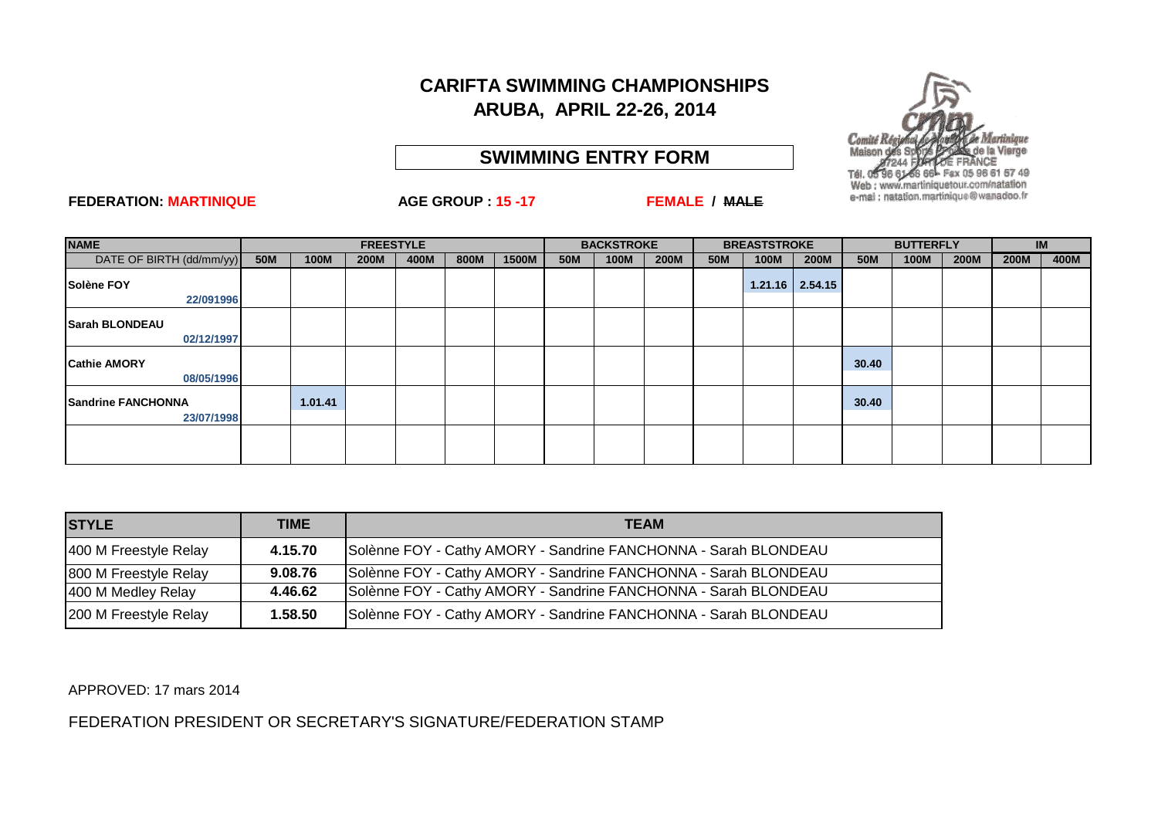## **SWIMMING ENTRY FORM**



#### **FEDERATION: MARTINIQUE AGE GROUP : 15 -17 FEMALE / MALE**

| <b>NAME</b>                             |            |             | <b>FREESTYLE</b> |      |      |       | <b>BACKSTROKE</b> |             |             | <b>BREASTSTROKE</b> |             |                   | <b>BUTTERFLY</b> |      |             | <b>IM</b>   |      |
|-----------------------------------------|------------|-------------|------------------|------|------|-------|-------------------|-------------|-------------|---------------------|-------------|-------------------|------------------|------|-------------|-------------|------|
| DATE OF BIRTH (dd/mm/yy)                | <b>50M</b> | <b>100M</b> | <b>200M</b>      | 400M | 800M | 1500M | <b>50M</b>        | <b>100M</b> | <b>200M</b> | <b>50M</b>          | <b>100M</b> | <b>200M</b>       | <b>50M</b>       | 100M | <b>200M</b> | <b>200M</b> | 400M |
| Solène FOY                              |            |             |                  |      |      |       |                   |             |             |                     |             | $1.21.16$ 2.54.15 |                  |      |             |             |      |
| 22/091996                               |            |             |                  |      |      |       |                   |             |             |                     |             |                   |                  |      |             |             |      |
| <b>Sarah BLONDEAU</b>                   |            |             |                  |      |      |       |                   |             |             |                     |             |                   |                  |      |             |             |      |
| 02/12/1997                              |            |             |                  |      |      |       |                   |             |             |                     |             |                   |                  |      |             |             |      |
| <b>Cathie AMORY</b>                     |            |             |                  |      |      |       |                   |             |             |                     |             |                   | 30.40            |      |             |             |      |
| 08/05/1996                              |            |             |                  |      |      |       |                   |             |             |                     |             |                   |                  |      |             |             |      |
| <b>Sandrine FANCHONNA</b><br>23/07/1998 |            | 1.01.41     |                  |      |      |       |                   |             |             |                     |             |                   | 30.40            |      |             |             |      |
|                                         |            |             |                  |      |      |       |                   |             |             |                     |             |                   |                  |      |             |             |      |

| <b>STYLE</b>          | <b>TIME</b> | <b>TEAM</b>                                                     |
|-----------------------|-------------|-----------------------------------------------------------------|
| 400 M Freestyle Relay | 4.15.70     | Solènne FOY - Cathy AMORY - Sandrine FANCHONNA - Sarah BLONDEAU |
| 800 M Freestyle Relay | 9.08.76     | Solènne FOY - Cathy AMORY - Sandrine FANCHONNA - Sarah BLONDEAU |
| 400 M Medley Relay    | 4.46.62     | Solènne FOY - Cathy AMORY - Sandrine FANCHONNA - Sarah BLONDEAU |
| 200 M Freestyle Relay | 1.58.50     | Solènne FOY - Cathy AMORY - Sandrine FANCHONNA - Sarah BLONDEAU |

APPROVED: 17 mars 2014

FEDERATION PRESIDENT OR SECRETARY'S SIGNATURE/FEDERATION STAMP